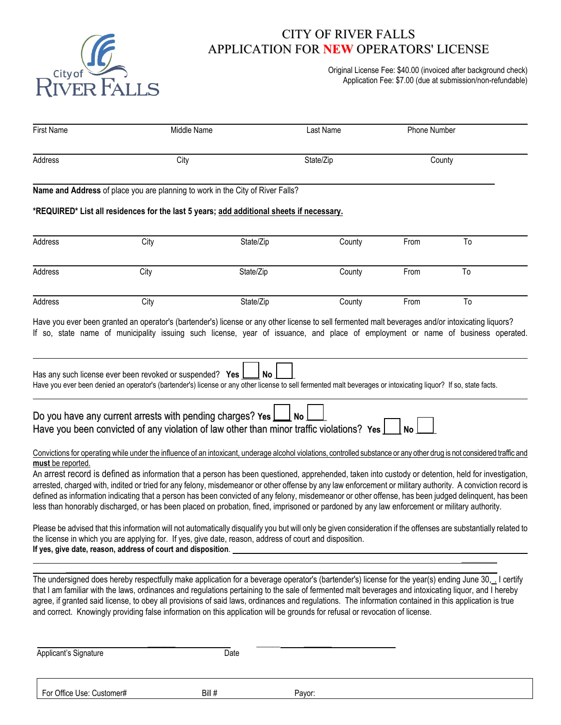

## CITY OF RIVER FALLS APPLICATION FOR **NEW** OPERATORS' LICENSE

Original License Fee: \$40.00 (invoiced after background check) Application Fee: \$7.00 (due at submission/non-refundable)

| <b>First Name</b>     | Middle Name                                                                                                                                                                                                                                                                                                                                                                                                                                                                                                                                                                                                               |           | Last Name | Phone Number |    |
|-----------------------|---------------------------------------------------------------------------------------------------------------------------------------------------------------------------------------------------------------------------------------------------------------------------------------------------------------------------------------------------------------------------------------------------------------------------------------------------------------------------------------------------------------------------------------------------------------------------------------------------------------------------|-----------|-----------|--------------|----|
| Address               | City                                                                                                                                                                                                                                                                                                                                                                                                                                                                                                                                                                                                                      |           | State/Zip | County       |    |
|                       | Name and Address of place you are planning to work in the City of River Falls?                                                                                                                                                                                                                                                                                                                                                                                                                                                                                                                                            |           |           |              |    |
|                       | *REQUIRED* List all residences for the last 5 years; add additional sheets if necessary.                                                                                                                                                                                                                                                                                                                                                                                                                                                                                                                                  |           |           |              |    |
| Address               | City                                                                                                                                                                                                                                                                                                                                                                                                                                                                                                                                                                                                                      | State/Zip | County    | From         | To |
| Address               | City                                                                                                                                                                                                                                                                                                                                                                                                                                                                                                                                                                                                                      | State/Zip | County    | From         | To |
| Address               | City                                                                                                                                                                                                                                                                                                                                                                                                                                                                                                                                                                                                                      | State/Zip | County    | From         | To |
|                       | Have you ever been granted an operator's (bartender's) license or any other license to sell fermented malt beverages and/or intoxicating liquors?<br>If so, state name of municipality issuing such license, year of issuance, and place of employment or name of business operated.                                                                                                                                                                                                                                                                                                                                      |           |           |              |    |
|                       | Has any such license ever been revoked or suspended? Yes<br>Have you ever been denied an operator's (bartender's) license or any other license to sell fermented malt beverages or intoxicating liquor? If so, state facts.                                                                                                                                                                                                                                                                                                                                                                                               | No        |           |              |    |
|                       | Do you have any current arrests with pending charges? Yes [<br>Have you been convicted of any violation of law other than minor traffic violations? Yes [                                                                                                                                                                                                                                                                                                                                                                                                                                                                 |           | <b>No</b> | <b>No</b>    |    |
| must be reported.     | Convictions for operating while under the influence of an intoxicant, underage alcohol violations, controlled substance or any other drug is not considered traffic and                                                                                                                                                                                                                                                                                                                                                                                                                                                   |           |           |              |    |
|                       | An arrest record is defined as information that a person has been questioned, apprehended, taken into custody or detention, held for investigation,<br>arrested, charged with, indited or tried for any felony, misdemeanor or other offense by any law enforcement or military authority. A conviction record is<br>defined as information indicating that a person has been convicted of any felony, misdemeanor or other offense, has been judged delinquent, has been<br>less than honorably discharged, or has been placed on probation, fined, imprisoned or pardoned by any law enforcement or military authority. |           |           |              |    |
|                       | Please be advised that this information will not automatically disqualify you but will only be given consideration if the offenses are substantially related to<br>the license in which you are applying for. If yes, give date, reason, address of court and disposition.                                                                                                                                                                                                                                                                                                                                                |           |           |              |    |
|                       | The undersigned does hereby respectfully make application for a beverage operator's (bartender's) license for the year(s) ending June 30, __ I certify<br>that I am familiar with the laws, ordinances and regulations pertaining to the sale of fermented malt beverages and intoxicating liquor, and I hereby<br>agree, if granted said license, to obey all provisions of said laws, ordinances and regulations. The information contained in this application is true<br>and correct. Knowingly providing false information on this application will be grounds for refusal or revocation of license.                 |           |           |              |    |
| Applicant's Signature |                                                                                                                                                                                                                                                                                                                                                                                                                                                                                                                                                                                                                           | Date      |           |              |    |

For Office Use: Customer# Bill # Payor: